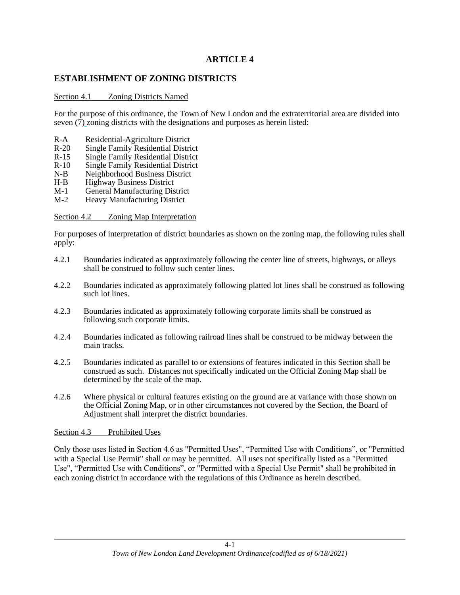# **ARTICLE 4**

### **ESTABLISHMENT OF ZONING DISTRICTS**

#### Section 4.1 Zoning Districts Named

For the purpose of this ordinance, the Town of New London and the extraterritorial area are divided into seven  $(\overline{7})$  zoning districts with the designations and purposes as herein listed:

- R-A Residential-Agriculture District
- R-20 Single Family Residential District
- R-15 Single Family Residential District
- R-10 Single Family Residential District<br>N-B Neighborhood Business District
- Neighborhood Business District
- H-B Highway Business District
- M-1 General Manufacturing District<br>M-2 Heavy Manufacturing District
- Heavy Manufacturing District

#### Section 4.2 Zoning Map Interpretation

For purposes of interpretation of district boundaries as shown on the zoning map, the following rules shall apply:

- 4.2.1 Boundaries indicated as approximately following the center line of streets, highways, or alleys shall be construed to follow such center lines.
- 4.2.2 Boundaries indicated as approximately following platted lot lines shall be construed as following such lot lines.
- 4.2.3 Boundaries indicated as approximately following corporate limits shall be construed as following such corporate limits.
- 4.2.4 Boundaries indicated as following railroad lines shall be construed to be midway between the main tracks.
- 4.2.5 Boundaries indicated as parallel to or extensions of features indicated in this Section shall be construed as such. Distances not specifically indicated on the Official Zoning Map shall be determined by the scale of the map.
- 4.2.6 Where physical or cultural features existing on the ground are at variance with those shown on the Official Zoning Map, or in other circumstances not covered by the Section, the Board of Adjustment shall interpret the district boundaries.

#### Section 4.3 Prohibited Uses

Only those uses listed in Section 4.6 as "Permitted Uses", "Permitted Use with Conditions", or "Permitted with a Special Use Permit" shall or may be permitted. All uses not specifically listed as a "Permitted Use", "Permitted Use with Conditions", or "Permitted with a Special Use Permit" shall be prohibited in each zoning district in accordance with the regulations of this Ordinance as herein described.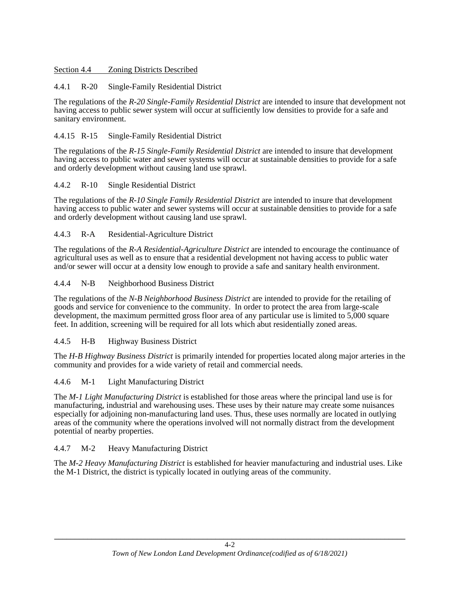#### Section 4.4 Zoning Districts Described

### 4.4.1 R-20 Single-Family Residential District

The regulations of the *R-20 Single-Family Residential District* are intended to insure that development not having access to public sewer system will occur at sufficiently low densities to provide for a safe and sanitary environment.

### 4.4.15 R-15 Single-Family Residential District

The regulations of the *R-15 Single-Family Residential District* are intended to insure that development having access to public water and sewer systems will occur at sustainable densities to provide for a safe and orderly development without causing land use sprawl.

### 4.4.2 R-10 Single Residential District

The regulations of the *R-10 Single Family Residential District* are intended to insure that development having access to public water and sewer systems will occur at sustainable densities to provide for a safe and orderly development without causing land use sprawl.

### 4.4.3 R-A Residential-Agriculture District

The regulations of the *R-A Residential-Agriculture District* are intended to encourage the continuance of agricultural uses as well as to ensure that a residential development not having access to public water and/or sewer will occur at a density low enough to provide a safe and sanitary health environment.

### 4.4.4 N-B Neighborhood Business District

The regulations of the *N-B Neighborhood Business District* are intended to provide for the retailing of goods and service for convenience to the community. In order to protect the area from large-scale development, the maximum permitted gross floor area of any particular use is limited to 5,000 square feet. In addition, screening will be required for all lots which abut residentially zoned areas.

## 4.4.5 H-B Highway Business District

The *H-B Highway Business District* is primarily intended for properties located along major arteries in the community and provides for a wide variety of retail and commercial needs.

## 4.4.6 M-1 Light Manufacturing District

The *M-1 Light Manufacturing District* is established for those areas where the principal land use is for manufacturing, industrial and warehousing uses. These uses by their nature may create some nuisances especially for adjoining non-manufacturing land uses. Thus, these uses normally are located in outlying areas of the community where the operations involved will not normally distract from the development potential of nearby properties.

#### 4.4.7 M-2 Heavy Manufacturing District

The *M-2 Heavy Manufacturing District* is established for heavier manufacturing and industrial uses. Like the M-1 District, the district is typically located in outlying areas of the community.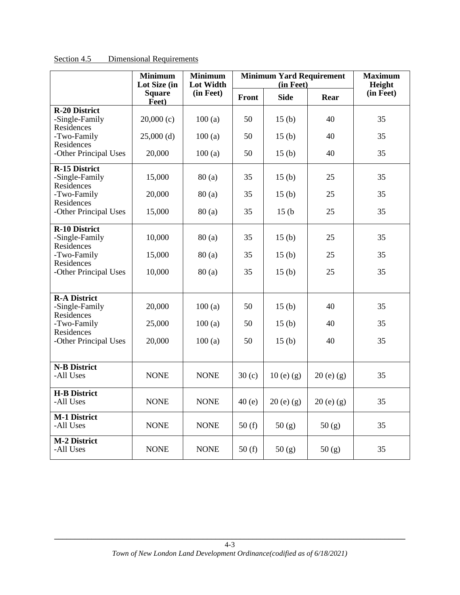|                                                      | <b>Minimum</b><br>Lot Size (in | <b>Minimum</b><br><b>Lot Width</b> |       | <b>Minimum Yard Requirement</b><br>(in Feet) |             | <b>Maximum</b><br>Height |
|------------------------------------------------------|--------------------------------|------------------------------------|-------|----------------------------------------------|-------------|--------------------------|
|                                                      | <b>Square</b><br>Feet)         | (in Feet)                          | Front | <b>Side</b>                                  | Rear        | (in Feet)                |
| <b>R-20 District</b><br>-Single-Family<br>Residences | 20,000(c)                      | 100(a)                             | 50    | 15 <sub>(b)</sub>                            | 40          | 35                       |
| -Two-Family<br>Residences                            | $25,000$ (d)                   | 100(a)                             | 50    | 15 <sub>(b)</sub>                            | 40          | 35                       |
| -Other Principal Uses                                | 20,000                         | 100(a)                             | 50    | 15 <sub>(b)</sub>                            | 40          | 35                       |
| <b>R-15 District</b><br>-Single-Family<br>Residences | 15,000                         | 80(a)                              | 35    | 15(b)                                        | 25          | 35                       |
| -Two-Family<br>Residences                            | 20,000                         | 80(a)                              | 35    | 15(b)                                        | 25          | 35                       |
| -Other Principal Uses                                | 15,000                         | 80(a)                              | 35    | 15(b)                                        | 25          | 35                       |
| <b>R-10 District</b><br>-Single-Family<br>Residences | 10,000                         | 80(a)                              | 35    | 15 <sub>(b)</sub>                            | 25          | 35                       |
| -Two-Family<br>Residences                            | 15,000                         | 80(a)                              | 35    | 15 <sub>(b)</sub>                            | 25          | 35                       |
| -Other Principal Uses                                | 10,000                         | 80(a)                              | 35    | 15(b)                                        | 25          | 35                       |
| <b>R-A District</b><br>-Single-Family<br>Residences  | 20,000                         | 100(a)                             | 50    | 15 <sub>(b)</sub>                            | 40          | 35                       |
| -Two-Family                                          | 25,000                         | 100(a)                             | 50    | 15(b)                                        | 40          | 35                       |
| Residences<br>-Other Principal Uses                  | 20,000                         | 100(a)                             | 50    | 15(b)                                        | 40          | 35                       |
| <b>N-B District</b><br>-All Uses                     | <b>NONE</b>                    | <b>NONE</b>                        | 30(c) | $10(e)$ (g)                                  | $20(e)$ (g) | 35                       |
| <b>H-B District</b><br>-All Uses                     | <b>NONE</b>                    | <b>NONE</b>                        | 40(e) | $20(e)$ (g)                                  | $20(e)$ (g) | 35                       |
| <b>M-1 District</b><br>-All Uses                     | <b>NONE</b>                    | <b>NONE</b>                        | 50(f) | 50(g)                                        | 50(g)       | 35                       |
| <b>M-2 District</b><br>-All Uses                     | <b>NONE</b>                    | <b>NONE</b>                        | 50(f) | 50(g)                                        | 50(g)       | 35                       |

Section 4.5 Dimensional Requirements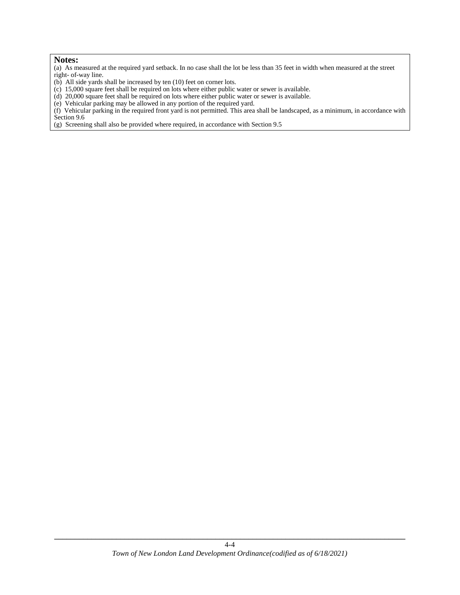#### **Notes:**

(a) As measured at the required yard setback. In no case shall the lot be less than 35 feet in width when measured at the street right- of-way line.

- (b) All side yards shall be increased by ten (10) feet on corner lots.
- (c) 15,000 square feet shall be required on lots where either public water or sewer is available.
- (d) 20,000 square feet shall be required on lots where either public water or sewer is available.
- (e) Vehicular parking may be allowed in any portion of the required yard.

(f) Vehicular parking in the required front yard is not permitted. This area shall be landscaped, as a minimum, in accordance with Section 9.6

(g) Screening shall also be provided where required, in accordance with Section 9.5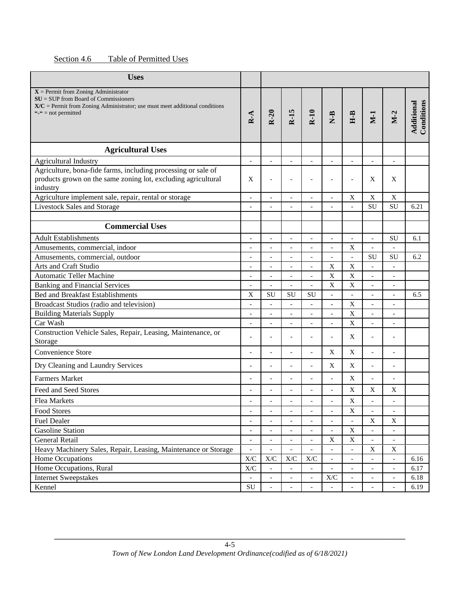| Table of Permitted Uses<br>Section 4.6 |
|----------------------------------------|
|----------------------------------------|

| <b>Uses</b>                                                                                                                                                                                  |                                                             |                                                      |                                                      |                          |                              |                           |                              |                              |                          |
|----------------------------------------------------------------------------------------------------------------------------------------------------------------------------------------------|-------------------------------------------------------------|------------------------------------------------------|------------------------------------------------------|--------------------------|------------------------------|---------------------------|------------------------------|------------------------------|--------------------------|
| $X =$ Permit from Zoning Administrator<br>$SU = SUP$ from Board of Commissioners<br>$X/C$ = Permit from Zoning Administrator; use must meet additional conditions<br>" $-$ " = not permitted | $R - A$                                                     | $R-20$                                               | $R-15$                                               | $R-10$                   | $N-B$                        | $H-B$                     | $M-1$                        | $M-2$                        | Conditions<br>Additional |
| <b>Agricultural Uses</b>                                                                                                                                                                     |                                                             |                                                      |                                                      |                          |                              |                           |                              |                              |                          |
| <b>Agricultural Industry</b>                                                                                                                                                                 |                                                             |                                                      |                                                      |                          | $\overline{a}$               | $\overline{a}$            | $\overline{a}$               | $\overline{a}$               |                          |
| Agriculture, bona-fide farms, including processing or sale of<br>products grown on the same zoning lot, excluding agricultural<br>industry                                                   | X                                                           | L,                                                   |                                                      | L,                       | $\overline{a}$               | $\overline{a}$            | X                            | X                            |                          |
| Agriculture implement sale, repair, rental or storage                                                                                                                                        | $\overline{\phantom{a}}$                                    | $\overline{a}$                                       | $\bar{\phantom{a}}$                                  | $\overline{\phantom{a}}$ | $\overline{\phantom{a}}$     | $\mathbf X$               | $\mathbf X$                  | $\mathbf X$                  |                          |
| <b>Livestock Sales and Storage</b>                                                                                                                                                           | $\overline{\phantom{a}}$                                    | $\overline{a}$                                       | $\overline{a}$                                       | $\overline{a}$           | $\overline{a}$               | $\overline{a}$            | <b>SU</b>                    | SU                           | 6.21                     |
|                                                                                                                                                                                              |                                                             |                                                      |                                                      |                          |                              |                           |                              |                              |                          |
| <b>Commercial Uses</b>                                                                                                                                                                       |                                                             |                                                      |                                                      |                          |                              |                           |                              |                              |                          |
| <b>Adult Establishments</b>                                                                                                                                                                  | $\overline{\phantom{a}}$                                    | $\blacksquare$                                       | $\overline{\phantom{a}}$                             | $\blacksquare$           | $\overline{a}$               | $\overline{a}$            | $\overline{\phantom{m}}$     | <b>SU</b>                    | 6.1                      |
| Amusements, commercial, indoor                                                                                                                                                               | $\overline{\phantom{a}}$                                    | $\overline{\phantom{a}}$                             | $\overline{\phantom{a}}$                             | $\overline{a}$           | $\overline{a}$               | $\mathbf X$               | $\overline{a}$               |                              |                          |
| Amusements, commercial, outdoor                                                                                                                                                              | $\overline{\phantom{a}}$                                    | $\overline{a}$                                       | $\overline{a}$                                       | $\overline{a}$           | $\overline{a}$               | $\overline{a}$            | <b>SU</b>                    | <b>SU</b>                    | 6.2                      |
| <b>Arts and Craft Studio</b>                                                                                                                                                                 |                                                             |                                                      |                                                      |                          | $\mathbf X$                  | $\mathbf X$               | $\overline{a}$               |                              |                          |
| <b>Automatic Teller Machine</b>                                                                                                                                                              |                                                             |                                                      |                                                      |                          | X                            | $\mathbf X$               |                              |                              |                          |
| <b>Banking and Financial Services</b>                                                                                                                                                        | $\overline{\phantom{a}}$                                    | $\overline{\phantom{a}}$                             | $\overline{\phantom{a}}$                             | $\overline{\phantom{a}}$ | $\mathbf X$                  | X                         | $\qquad \qquad \blacksquare$ | $\qquad \qquad \blacksquare$ |                          |
| <b>Bed and Breakfast Establishments</b>                                                                                                                                                      | $\boldsymbol{\mathrm{X}}$                                   | <b>SU</b>                                            | <b>SU</b>                                            | SU                       | $\overline{a}$               | $\overline{a}$            | $\overline{a}$               | $\overline{\phantom{a}}$     | 6.5                      |
| Broadcast Studios (radio and television)                                                                                                                                                     | $\overline{a}$                                              | $\overline{a}$                                       | $\blacksquare$                                       | L,                       | $\overline{a}$               | X                         | $\blacksquare$               | $\overline{\phantom{a}}$     |                          |
| <b>Building Materials Supply</b>                                                                                                                                                             | $\overline{a}$                                              | $\overline{a}$                                       | $\blacksquare$                                       | $\overline{a}$           | $\overline{a}$               | $\mathbf X$               | $\overline{\phantom{m}}$     | $\overline{\phantom{m}}$     |                          |
| Car Wash                                                                                                                                                                                     |                                                             |                                                      | $\overline{\phantom{a}}$                             |                          | $\overline{a}$               | $\overline{X}$            | $\overline{a}$               |                              |                          |
| Construction Vehicle Sales, Repair, Leasing, Maintenance, or<br>Storage                                                                                                                      | $\overline{a}$                                              |                                                      |                                                      | Ĭ.                       | $\overline{a}$               | X                         | $\overline{a}$               | $\overline{a}$               |                          |
| Convenience Store                                                                                                                                                                            | $\overline{a}$                                              | $\overline{a}$                                       | $\overline{\phantom{a}}$                             | $\overline{a}$           | $\mathbf X$                  | $\boldsymbol{\mathrm{X}}$ | $\overline{a}$               | $\overline{a}$               |                          |
| Dry Cleaning and Laundry Services                                                                                                                                                            |                                                             |                                                      |                                                      |                          | X                            | X                         | $\overline{a}$               |                              |                          |
| <b>Farmers Market</b>                                                                                                                                                                        | $\overline{a}$                                              |                                                      |                                                      |                          | $\overline{a}$               | X                         | $\overline{a}$               | $\overline{a}$               |                          |
| Feed and Seed Stores                                                                                                                                                                         |                                                             |                                                      |                                                      |                          | $\overline{a}$               | X                         | X                            | X                            |                          |
| <b>Flea Markets</b>                                                                                                                                                                          |                                                             | $\overline{\phantom{a}}$                             |                                                      |                          |                              | $\mathbf X$               | $\overline{\phantom{a}}$     |                              |                          |
| Food Stores                                                                                                                                                                                  | $\overline{\phantom{a}}$                                    | $\overline{a}$                                       | $\overline{\phantom{a}}$                             | $\overline{\phantom{a}}$ | $\qquad \qquad \blacksquare$ | $\mathbf X$               | $\qquad \qquad -$            | $\qquad \qquad -$            |                          |
| <b>Fuel Dealer</b>                                                                                                                                                                           | $\overline{\phantom{a}}$                                    | $\overline{\phantom{a}}$                             | $\overline{\phantom{a}}$                             | $\overline{\phantom{a}}$ | $\qquad \qquad \blacksquare$ | $\frac{1}{2}$             | $\mathbf X$                  | $\mathbf X$                  |                          |
| <b>Gasoline Station</b>                                                                                                                                                                      | $\overline{\phantom{a}}$                                    | $\overline{a}$                                       | $\overline{\phantom{a}}$                             | $\overline{a}$           | $\overline{a}$               | $\mathbf X$               | $\qquad \qquad -$            | $\overline{\phantom{a}}$     |                          |
| General Retail                                                                                                                                                                               | $\overline{a}$                                              |                                                      | $\overline{a}$                                       | $\overline{a}$           | $\mathbf X$                  | $\mathbf X$               | $\blacksquare$               | $\overline{\phantom{a}}$     |                          |
| Heavy Machinery Sales, Repair, Leasing, Maintenance or Storage                                                                                                                               |                                                             |                                                      |                                                      |                          |                              |                           | $\mathbf X$                  | $\mathbf X$                  |                          |
| Home Occupations                                                                                                                                                                             | $\ensuremath{\text{X}}\xspace/\ensuremath{\text{C}}\xspace$ | $\ensuremath{\text{X}}\xspace/\ensuremath{\text{C}}$ | $\ensuremath{\text{X}}\xspace/\ensuremath{\text{C}}$ | X/C                      | $\frac{1}{2}$                | $\overline{\phantom{a}}$  | $\blacksquare$               | $\overline{\phantom{a}}$     | 6.16                     |
| Home Occupations, Rural                                                                                                                                                                      | $\mathbf{X}/\mathbf{C}$                                     |                                                      |                                                      |                          |                              | $\overline{a}$            | $\overline{\phantom{a}}$     | $\overline{\phantom{a}}$     | 6.17                     |
| <b>Internet Sweepstakes</b>                                                                                                                                                                  |                                                             | ÷                                                    |                                                      | $\overline{\phantom{a}}$ | $\mathbf{X}/\mathbf{C}$      | $\overline{\phantom{a}}$  | $\qquad \qquad \blacksquare$ | $\qquad \qquad \blacksquare$ | 6.18                     |
| Kennel                                                                                                                                                                                       | ${\rm SU}$                                                  |                                                      |                                                      |                          |                              | $\overline{a}$            | $\overline{a}$               | $\overline{\phantom{m}}$     | 6.19                     |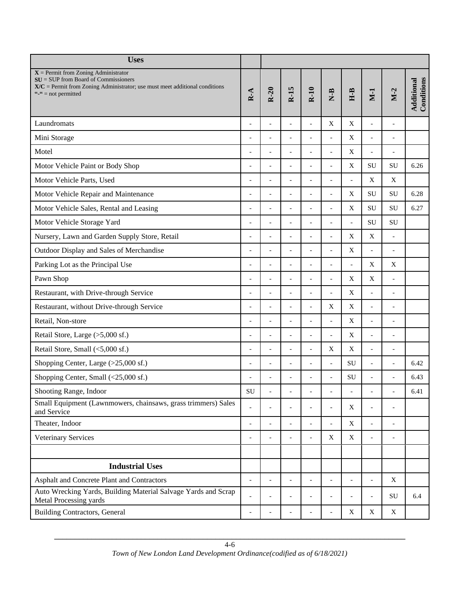| <b>Uses</b>                                                                                                                                                                                  |                          |                |                          |                          |                          |                           |                          |                          |                          |
|----------------------------------------------------------------------------------------------------------------------------------------------------------------------------------------------|--------------------------|----------------|--------------------------|--------------------------|--------------------------|---------------------------|--------------------------|--------------------------|--------------------------|
| $X =$ Permit from Zoning Administrator<br>$SU = SUP$ from Board of Commissioners<br>$X/C$ = Permit from Zoning Administrator; use must meet additional conditions<br>" $=$ " = not permitted | $R-A$                    | $R-20$         | $R-15$                   | $R-10$                   | $N-B$                    | $H-B$                     | $M-1$                    | $M-2$                    | Conditions<br>Additional |
| Laundromats                                                                                                                                                                                  | ٠                        | $\overline{a}$ |                          | $\overline{a}$           | $\mathbf X$              | $\mathbf X$               | $\overline{\phantom{a}}$ | $\overline{a}$           |                          |
| Mini Storage                                                                                                                                                                                 |                          | $\overline{a}$ |                          | $\overline{a}$           | $\overline{a}$           | X                         | $\blacksquare$           | $\overline{a}$           |                          |
| Motel                                                                                                                                                                                        | ٠                        | $\overline{a}$ | $\overline{a}$           | $\overline{a}$           | $\overline{a}$           | X                         | $\overline{\phantom{a}}$ | $\overline{\phantom{a}}$ |                          |
| Motor Vehicle Paint or Body Shop                                                                                                                                                             | $\overline{a}$           | $\overline{a}$ | $\overline{a}$           | $\overline{a}$           | $\overline{a}$           | $\mathbf X$               | SU                       | <b>SU</b>                | 6.26                     |
| Motor Vehicle Parts, Used                                                                                                                                                                    | $\overline{\phantom{a}}$ | $\overline{a}$ | $\overline{a}$           | $\overline{a}$           | $\overline{a}$           | $\overline{a}$            | $\mathbf X$              | $\mathbf X$              |                          |
| Motor Vehicle Repair and Maintenance                                                                                                                                                         | $\overline{a}$           | $\overline{a}$ | $\overline{a}$           | $\overline{a}$           | $\overline{a}$           | X                         | <b>SU</b>                | <b>SU</b>                | 6.28                     |
| Motor Vehicle Sales, Rental and Leasing                                                                                                                                                      | $\overline{a}$           | $\overline{a}$ | $\overline{a}$           | $\overline{a}$           | $\overline{a}$           | X                         | SU                       | SU                       | 6.27                     |
| Motor Vehicle Storage Yard                                                                                                                                                                   | $\overline{a}$           |                |                          |                          | $\overline{a}$           | $\overline{a}$            | <b>SU</b>                | <b>SU</b>                |                          |
| Nursery, Lawn and Garden Supply Store, Retail                                                                                                                                                | ٠                        | $\overline{a}$ | ٠                        |                          | $\overline{a}$           | $\mathbf X$               | $\mathbf X$              | $\blacksquare$           |                          |
| Outdoor Display and Sales of Merchandise                                                                                                                                                     |                          | $\overline{a}$ |                          |                          |                          | X                         | $\blacksquare$           | $\overline{a}$           |                          |
| Parking Lot as the Principal Use                                                                                                                                                             | $\overline{a}$           | $\overline{a}$ | $\overline{a}$           | $\overline{a}$           | $\overline{a}$           | $\blacksquare$            | X                        | X                        |                          |
| Pawn Shop                                                                                                                                                                                    | $\overline{a}$           | $\overline{a}$ | $\overline{a}$           | $\overline{a}$           | $\overline{a}$           | X                         | X                        | $\overline{\phantom{0}}$ |                          |
| Restaurant, with Drive-through Service                                                                                                                                                       | L,                       | $\overline{a}$ | $\overline{a}$           | $\overline{a}$           | $\overline{a}$           | $\mathbf X$               | $\mathbf{r}$             | $\frac{1}{2}$            |                          |
| Restaurant, without Drive-through Service                                                                                                                                                    | $\overline{a}$           | $\overline{a}$ | $\overline{a}$           | $\overline{a}$           | X                        | X                         | $\mathbf{r}$             | $\overline{\phantom{a}}$ |                          |
| Retail, Non-store                                                                                                                                                                            | $\overline{a}$           | $\overline{a}$ | $\overline{a}$           | $\overline{a}$           | $\overline{a}$           | $\mathbf X$               | $\mathcal{L}$            | $\overline{a}$           |                          |
| Retail Store, Large (>5,000 sf.)                                                                                                                                                             | $\overline{a}$           | $\overline{a}$ | $\overline{a}$           | $\overline{a}$           | $\blacksquare$           | X                         | $\bar{\phantom{a}}$      | $\overline{a}$           |                          |
| Retail Store, Small (<5,000 sf.)                                                                                                                                                             | L,                       | $\overline{a}$ |                          | $\overline{a}$           | X                        | X                         | $\overline{\phantom{a}}$ | $\overline{a}$           |                          |
| Shopping Center, Large (>25,000 sf.)                                                                                                                                                         |                          |                |                          |                          | $\overline{a}$           | SU                        | $\blacksquare$           | $\overline{a}$           | 6.42                     |
| Shopping Center, Small (<25,000 sf.)                                                                                                                                                         | $\overline{a}$           | $\overline{a}$ | ۰                        | $\overline{\phantom{a}}$ | $\overline{a}$           | SU                        | $\overline{\phantom{a}}$ | $\overline{a}$           | 6.43                     |
| Shooting Range, Indoor                                                                                                                                                                       | SU                       | $\overline{a}$ | $\overline{\phantom{a}}$ | $\overline{a}$           | $\overline{\phantom{a}}$ | $\overline{\phantom{a}}$  | $\overline{\phantom{a}}$ | $\frac{1}{2}$            | 6.41                     |
| Small Equipment (Lawnmowers, chainsaws, grass trimmers) Sales<br>and Service                                                                                                                 | $\overline{a}$           |                |                          | $\overline{a}$           | $\blacksquare$           | $\boldsymbol{\mathrm{X}}$ | $\blacksquare$           | $\overline{\phantom{a}}$ |                          |
| Theater, Indoor                                                                                                                                                                              | $\overline{a}$           | $\overline{a}$ | $\overline{a}$           | $\overline{a}$           | $\frac{1}{2}$            | $\mathbf X$               | $\mathbf{r}$             | $\blacksquare$           |                          |
| Veterinary Services                                                                                                                                                                          | $\overline{a}$           | $\overline{a}$ |                          | $\overline{a}$           | X                        | X                         | $\mathcal{L}$            | $\overline{\phantom{0}}$ |                          |
|                                                                                                                                                                                              |                          |                |                          |                          |                          |                           |                          |                          |                          |
| <b>Industrial Uses</b>                                                                                                                                                                       |                          |                |                          |                          |                          |                           |                          |                          |                          |
| Asphalt and Concrete Plant and Contractors                                                                                                                                                   | $\overline{a}$           | $\overline{a}$ | $\overline{a}$           | $\overline{a}$           | $\overline{a}$           | $\overline{\phantom{a}}$  | $\overline{\phantom{a}}$ | $\mathbf X$              |                          |
| Auto Wrecking Yards, Building Material Salvage Yards and Scrap<br>Metal Processing yards                                                                                                     |                          |                |                          | $\overline{a}$           | $\overline{a}$           | $\overline{a}$            | $\blacksquare$           | SU                       | 6.4                      |
| <b>Building Contractors, General</b>                                                                                                                                                         |                          |                |                          |                          |                          | $\mathbf X$               | $\mathbf X$              | X                        |                          |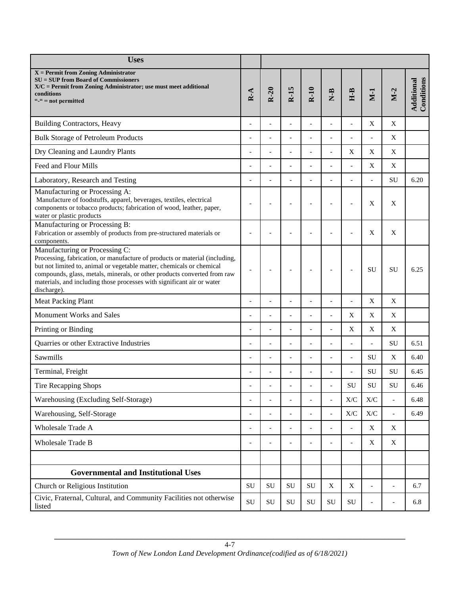| <b>Uses</b>                                                                                                                                                                                                                                                                                                                                                 |                |                |                |                          |                          |                                                      |                                                      |                          |                          |
|-------------------------------------------------------------------------------------------------------------------------------------------------------------------------------------------------------------------------------------------------------------------------------------------------------------------------------------------------------------|----------------|----------------|----------------|--------------------------|--------------------------|------------------------------------------------------|------------------------------------------------------|--------------------------|--------------------------|
| $X =$ Permit from Zoning Administrator<br>$SU = SUP$ from Board of Commissioners<br>X/C = Permit from Zoning Administrator; use must meet additional<br>conditions<br>"-" = not permitted                                                                                                                                                                   | $R - A$        | $R-20$         | $R-15$         | $R-10$                   | $N-B$                    | $H-B$                                                | $M-1$                                                | $M-2$                    | Conditions<br>Additional |
| <b>Building Contractors, Heavy</b>                                                                                                                                                                                                                                                                                                                          |                |                |                |                          |                          | $\overline{a}$                                       | X                                                    | X                        |                          |
| <b>Bulk Storage of Petroleum Products</b>                                                                                                                                                                                                                                                                                                                   |                |                |                |                          |                          | $\overline{a}$                                       | $\overline{\phantom{a}}$                             | X                        |                          |
| Dry Cleaning and Laundry Plants                                                                                                                                                                                                                                                                                                                             | L,             | $\overline{a}$ | $\overline{a}$ | $\overline{\phantom{a}}$ | $\overline{a}$           | X                                                    | X                                                    | X                        |                          |
| Feed and Flour Mills                                                                                                                                                                                                                                                                                                                                        | Ĭ.             |                | L,             |                          | Ĭ.                       | $\overline{a}$                                       | X                                                    | $\mathbf X$              |                          |
| Laboratory, Research and Testing                                                                                                                                                                                                                                                                                                                            | L,             | $\overline{a}$ |                | $\overline{a}$           |                          | $\overline{a}$                                       | $\blacksquare$                                       | SU                       | 6.20                     |
| Manufacturing or Processing A:<br>Manufacture of foodstuffs, apparel, beverages, textiles, electrical<br>components or tobacco products; fabrication of wood, leather, paper,<br>water or plastic products                                                                                                                                                  | ä,             |                |                |                          |                          |                                                      | X                                                    | X                        |                          |
| Manufacturing or Processing B:<br>Fabrication or assembly of products from pre-structured materials or<br>components.                                                                                                                                                                                                                                       | Ē,             |                |                |                          |                          |                                                      | X                                                    | X                        |                          |
| Manufacturing or Processing C:<br>Processing, fabrication, or manufacture of products or material (including,<br>but not limited to, animal or vegetable matter, chemicals or chemical<br>compounds, glass, metals, minerals, or other products converted from raw<br>materials, and including those processes with significant air or water<br>discharge). | ÷,             |                |                | $\overline{\phantom{a}}$ | $\overline{\phantom{a}}$ |                                                      | SU                                                   | SU                       | 6.25                     |
| <b>Meat Packing Plant</b>                                                                                                                                                                                                                                                                                                                                   | L,             |                |                |                          | Ĭ.                       | $\blacksquare$                                       | $\mathbf X$                                          | X                        |                          |
| Monument Works and Sales                                                                                                                                                                                                                                                                                                                                    | L,             | $\overline{a}$ | $\overline{a}$ | $\overline{a}$           | $\overline{a}$           | X                                                    | X                                                    | X                        |                          |
| Printing or Binding                                                                                                                                                                                                                                                                                                                                         |                |                |                | $\overline{a}$           | $\overline{a}$           | X                                                    | X                                                    | X                        |                          |
| Quarries or other Extractive Industries                                                                                                                                                                                                                                                                                                                     | $\overline{a}$ | $\overline{a}$ | $\overline{a}$ | $\blacksquare$           | $\overline{a}$           | $\overline{\phantom{a}}$                             | $\sim$                                               | SU                       | 6.51                     |
| Sawmills                                                                                                                                                                                                                                                                                                                                                    |                |                |                |                          |                          | $\overline{a}$                                       | SU                                                   | $\mathbf X$              | 6.40                     |
| Terminal, Freight                                                                                                                                                                                                                                                                                                                                           |                |                |                |                          |                          | $\overline{a}$                                       | SU                                                   | SU                       | 6.45                     |
| Tire Recapping Shops                                                                                                                                                                                                                                                                                                                                        |                |                |                |                          |                          | SU                                                   | SU                                                   | SU                       | 6.46                     |
| Warehousing (Excluding Self-Storage)                                                                                                                                                                                                                                                                                                                        | $\overline{a}$ |                |                |                          | $\blacksquare$           | $\mathbf{X}/\mathbf{C}$                              | X/C                                                  | $\overline{\phantom{a}}$ | 6.48                     |
| Warehousing, Self-Storage                                                                                                                                                                                                                                                                                                                                   | $\overline{a}$ |                |                |                          | $\overline{a}$           | $\ensuremath{\text{X}}\xspace/\ensuremath{\text{C}}$ | $\ensuremath{\text{X}}\xspace/\ensuremath{\text{C}}$ | $\overline{\phantom{0}}$ | 6.49                     |
| Wholesale Trade A                                                                                                                                                                                                                                                                                                                                           | $\overline{a}$ | $\overline{a}$ | $\overline{a}$ | $\overline{\phantom{a}}$ | $\overline{a}$           | $\overline{\phantom{a}}$                             | X                                                    | X                        |                          |
| Wholesale Trade B                                                                                                                                                                                                                                                                                                                                           |                |                |                |                          | $\overline{a}$           | $\overline{\phantom{a}}$                             | X                                                    | X                        |                          |
| <b>Governmental and Institutional Uses</b>                                                                                                                                                                                                                                                                                                                  |                |                |                |                          |                          |                                                      |                                                      |                          |                          |
| Church or Religious Institution                                                                                                                                                                                                                                                                                                                             | SU             | SU             | SU             | ${\rm SU}$               | $\mathbf X$              | $\mathbf X$                                          | $\blacksquare$                                       | $\overline{\phantom{0}}$ | 6.7                      |
| Civic, Fraternal, Cultural, and Community Facilities not otherwise<br>listed                                                                                                                                                                                                                                                                                | SU             | ${\rm SU}$     | ${\rm SU}$     | ${\rm SU}$               | ${\bf SU}$               | ${\rm SU}$                                           | $\overline{\phantom{a}}$                             | $\overline{\phantom{0}}$ | 6.8                      |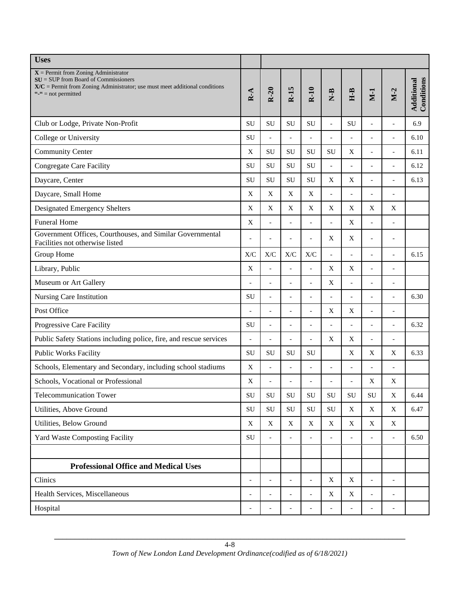| <b>Uses</b>                                                                                                                                                                                  |                           |                |                          |                |                           |                           |                           |                              |                          |
|----------------------------------------------------------------------------------------------------------------------------------------------------------------------------------------------|---------------------------|----------------|--------------------------|----------------|---------------------------|---------------------------|---------------------------|------------------------------|--------------------------|
| $X =$ Permit from Zoning Administrator<br>$SU = SUP$ from Board of Commissioners<br>$X/C$ = Permit from Zoning Administrator; use must meet additional conditions<br>" $-$ " = not permitted | $R - A$                   | $R-20$         | $R-15$                   | $R-10$         | $N-B$                     | $H-B$                     | $M-1$                     | $M-2$                        | Conditions<br>Additional |
| Club or Lodge, Private Non-Profit                                                                                                                                                            | SU                        | <b>SU</b>      | SU                       | SU             | $\overline{a}$            | <b>SU</b>                 | $\overline{a}$            | $\overline{a}$               | 6.9                      |
| College or University                                                                                                                                                                        | SU                        | $\overline{a}$ | $\overline{a}$           | $\overline{a}$ | $\overline{a}$            | $\overline{a}$            | $\overline{a}$            | $\overline{a}$               | 6.10                     |
| <b>Community Center</b>                                                                                                                                                                      | $\mathbf X$               | <b>SU</b>      | SU                       | SU             | SU                        | X                         | $\overline{a}$            | $\overline{a}$               | 6.11                     |
| <b>Congregate Care Facility</b>                                                                                                                                                              | <b>SU</b>                 | SU             | SU                       | ${\rm SU}$     | $\overline{a}$            | $\overline{a}$            | $\overline{a}$            | $\overline{a}$               | 6.12                     |
| Daycare, Center                                                                                                                                                                              | <b>SU</b>                 | SU             | SU                       | SU             | X                         | X                         | $\overline{\phantom{a}}$  | $\qquad \qquad \blacksquare$ | 6.13                     |
| Daycare, Small Home                                                                                                                                                                          | $\boldsymbol{\mathrm{X}}$ | X              | X                        | X              | $\overline{a}$            | $\overline{a}$            | $\blacksquare$            | $\overline{a}$               |                          |
| <b>Designated Emergency Shelters</b>                                                                                                                                                         | X                         | X              | X                        | X              | X                         | X                         | X                         | X                            |                          |
| <b>Funeral Home</b>                                                                                                                                                                          | $\mathbf X$               | $\overline{a}$ | $\overline{a}$           | $\blacksquare$ | $\overline{a}$            | $\boldsymbol{\mathrm{X}}$ | $\blacksquare$            | $\overline{a}$               |                          |
| Government Offices, Courthouses, and Similar Governmental<br>Facilities not otherwise listed                                                                                                 | L,                        | $\overline{a}$ | $\overline{a}$           | $\overline{a}$ | $\mathbf X$               | $\boldsymbol{\mathrm{X}}$ | $\blacksquare$            | $\overline{a}$               |                          |
| Group Home                                                                                                                                                                                   | X/C                       | X/C            | X/C                      | X/C            | $\overline{a}$            | $\overline{a}$            | $\blacksquare$            | $\frac{1}{2}$                | 6.15                     |
| Library, Public                                                                                                                                                                              | $\mathbf X$               |                | $\overline{a}$           | $\overline{a}$ | X                         | X                         | $\overline{a}$            | $\overline{a}$               |                          |
| Museum or Art Gallery                                                                                                                                                                        | L,                        | $\overline{a}$ | ÷,                       | $\overline{a}$ | $\mathbf X$               | $\overline{a}$            | $\overline{a}$            | $\overline{a}$               |                          |
| Nursing Care Institution                                                                                                                                                                     | <b>SU</b>                 | $\overline{a}$ | L.                       | L,             |                           | $\overline{a}$            |                           |                              | 6.30                     |
| Post Office                                                                                                                                                                                  | $\overline{a}$            | $\overline{a}$ | $\overline{a}$           | $\overline{a}$ | X                         | X                         | $\overline{\phantom{a}}$  | $\frac{1}{2}$                |                          |
| Progressive Care Facility                                                                                                                                                                    | SU                        | $\overline{a}$ | $\overline{a}$           | $\overline{a}$ | $\overline{a}$            | $\blacksquare$            | $\blacksquare$            | $\overline{a}$               | 6.32                     |
| Public Safety Stations including police, fire, and rescue services                                                                                                                           | $\overline{\phantom{a}}$  | $\overline{a}$ | $\overline{a}$           | $\frac{1}{2}$  | X                         | X                         | $\bar{\phantom{a}}$       | $\overline{\phantom{0}}$     |                          |
| <b>Public Works Facility</b>                                                                                                                                                                 | SU                        | SU             | SU                       | SU             |                           | $\boldsymbol{\mathrm{X}}$ | $\boldsymbol{\mathrm{X}}$ | X                            | 6.33                     |
| Schools, Elementary and Secondary, including school stadiums                                                                                                                                 | $\mathbf X$               | $\blacksquare$ | $\overline{\phantom{a}}$ | $\overline{a}$ | $\overline{a}$            | $\blacksquare$            | $\blacksquare$            | $\frac{1}{2}$                |                          |
| Schools, Vocational or Professional                                                                                                                                                          | $\mathbf X$               |                |                          |                |                           |                           | $\mathbf X$               | X                            |                          |
| <b>Telecommunication Tower</b>                                                                                                                                                               | SU                        | ${\bf SU}$     | SU                       | SU             | SU                        | SU                        | ${\rm SU}$                | $\mathbf X$                  | 6.44                     |
| Utilities, Above Ground                                                                                                                                                                      | ${\rm SU}$                | ${\rm SU}$     | SU                       | ${\rm SU}$     | ${\bf SU}$                | X                         | $\boldsymbol{\mathrm{X}}$ | X                            | 6.47                     |
| Utilities, Below Ground                                                                                                                                                                      | X                         | X              | X                        | X              | X                         | X                         | X                         | X                            |                          |
| <b>Yard Waste Composting Facility</b>                                                                                                                                                        | ${\rm SU}$                | $\blacksquare$ | $\overline{\phantom{a}}$ | $\overline{a}$ | $\overline{\phantom{a}}$  | $\overline{\phantom{a}}$  | $\mathcal{L}$             | $\overline{\phantom{a}}$     | 6.50                     |
|                                                                                                                                                                                              |                           |                |                          |                |                           |                           |                           |                              |                          |
| <b>Professional Office and Medical Uses</b>                                                                                                                                                  |                           |                |                          |                |                           |                           |                           |                              |                          |
| Clinics                                                                                                                                                                                      | $\blacksquare$            | $\overline{a}$ | $\overline{\phantom{a}}$ | $\overline{a}$ | $\mathbf X$               | $\mathbf X$               | $\bar{\phantom{a}}$       | $\overline{\phantom{a}}$     |                          |
| Health Services, Miscellaneous                                                                                                                                                               | $\overline{a}$            |                |                          | $\overline{a}$ | $\boldsymbol{\mathrm{X}}$ | $\mathbf X$               | $\blacksquare$            | $\overline{\phantom{a}}$     |                          |
| Hospital                                                                                                                                                                                     | $\overline{a}$            |                |                          |                |                           | $\overline{a}$            |                           | $\overline{\phantom{a}}$     |                          |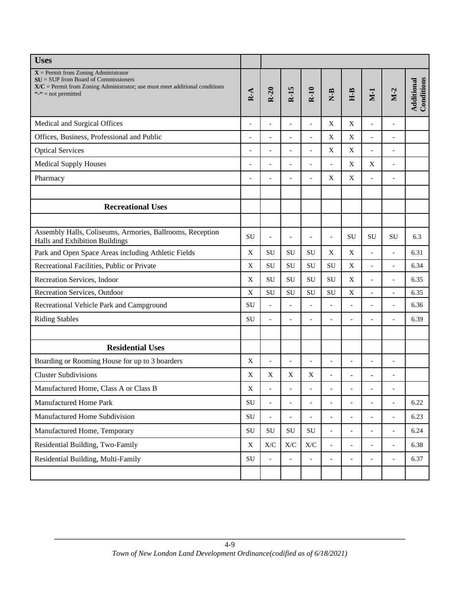| <b>Uses</b>                                                                                                                                                                                  |                           |                                                      |                          |                                                      |                          |                           |                           |                          |                          |
|----------------------------------------------------------------------------------------------------------------------------------------------------------------------------------------------|---------------------------|------------------------------------------------------|--------------------------|------------------------------------------------------|--------------------------|---------------------------|---------------------------|--------------------------|--------------------------|
| $X =$ Permit from Zoning Administrator<br>$SU = SUP$ from Board of Commissioners<br>$X/C$ = Permit from Zoning Administrator; use must meet additional conditions<br>" $-$ " = not permitted | $R - A$                   | $R-20$                                               | $R-15$                   | $R-10$                                               | $N-B$                    | $H-B$                     | $M-1$                     | $M-2$                    | Conditions<br>Additional |
| Medical and Surgical Offices                                                                                                                                                                 | $\overline{a}$            | $\overline{a}$                                       | $\overline{a}$           | $\overline{a}$                                       | $\mathbf X$              | $\mathbf X$               | $\overline{\phantom{a}}$  | $\overline{\phantom{0}}$ |                          |
| Offices, Business, Professional and Public                                                                                                                                                   | $\overline{a}$            | $\overline{a}$                                       | $\overline{a}$           | $\overline{a}$                                       | X                        | X                         | $\overline{\phantom{a}}$  | $\frac{1}{2}$            |                          |
| <b>Optical Services</b>                                                                                                                                                                      | $\overline{a}$            | $\overline{a}$                                       | Ĭ.                       | $\overline{a}$                                       | X                        | $\boldsymbol{\mathrm{X}}$ | $\overline{\phantom{a}}$  | $\blacksquare$           |                          |
| <b>Medical Supply Houses</b>                                                                                                                                                                 | $\overline{\phantom{a}}$  | $\overline{a}$                                       | $\overline{a}$           | $\overline{a}$                                       | $\overline{a}$           | $\boldsymbol{\mathrm{X}}$ | $\boldsymbol{\mathrm{X}}$ | $\overline{\phantom{a}}$ |                          |
| Pharmacy                                                                                                                                                                                     |                           |                                                      | $\overline{a}$           | $\overline{a}$                                       | X                        | $\boldsymbol{\mathrm{X}}$ | $\blacksquare$            | $\overline{a}$           |                          |
|                                                                                                                                                                                              |                           |                                                      |                          |                                                      |                          |                           |                           |                          |                          |
| <b>Recreational Uses</b>                                                                                                                                                                     |                           |                                                      |                          |                                                      |                          |                           |                           |                          |                          |
|                                                                                                                                                                                              |                           |                                                      |                          |                                                      |                          |                           |                           |                          |                          |
| Assembly Halls, Coliseums, Armories, Ballrooms, Reception<br>Halls and Exhibition Buildings                                                                                                  | <b>SU</b>                 | $\overline{a}$                                       | $\overline{a}$           | $\overline{a}$                                       | $\blacksquare$           | SU                        | SU                        | SU                       | 6.3                      |
| Park and Open Space Areas including Athletic Fields                                                                                                                                          | $\boldsymbol{\mathrm{X}}$ | SU                                                   | <b>SU</b>                | SU                                                   | X                        | X                         | $\blacksquare$            | $\frac{1}{2}$            | 6.31                     |
| Recreational Facilities, Public or Private                                                                                                                                                   | $\boldsymbol{\mathrm{X}}$ | SU                                                   | SU                       | ${\rm SU}$                                           | SU                       | $\boldsymbol{\mathrm{X}}$ | $\overline{\phantom{a}}$  | $\overline{\phantom{0}}$ | 6.34                     |
| Recreation Services, Indoor                                                                                                                                                                  | $\mathbf X$               | SU                                                   | SU                       | SU                                                   | SU                       | X                         | $\overline{\phantom{a}}$  | $\overline{\phantom{0}}$ | 6.35                     |
| Recreation Services, Outdoor                                                                                                                                                                 | $\mathbf X$               | SU                                                   | SU                       | SU                                                   | SU                       | X                         | $\overline{\phantom{a}}$  | $\overline{\phantom{a}}$ | 6.35                     |
| Recreational Vehicle Park and Campground                                                                                                                                                     | <b>SU</b>                 | $\mathbb{L}$                                         | ÷,                       | $\overline{a}$                                       | $\overline{\phantom{a}}$ | $\overline{a}$            | $\overline{a}$            | $\overline{a}$           | 6.36                     |
| <b>Riding Stables</b>                                                                                                                                                                        | SU                        | $\overline{a}$                                       | L.                       | L,                                                   | $\overline{\phantom{a}}$ | $\overline{a}$            | $\overline{a}$            | $\overline{a}$           | 6.39                     |
|                                                                                                                                                                                              |                           |                                                      |                          |                                                      |                          |                           |                           |                          |                          |
| <b>Residential Uses</b>                                                                                                                                                                      |                           |                                                      |                          |                                                      |                          |                           |                           |                          |                          |
| Boarding or Rooming House for up to 3 boarders                                                                                                                                               | X                         | $\blacksquare$                                       | $\overline{\phantom{a}}$ | $\overline{a}$                                       | $\overline{a}$           | $\overline{a}$            | $\overline{\phantom{a}}$  | $\overline{a}$           |                          |
| <b>Cluster Subdivisions</b>                                                                                                                                                                  | $\boldsymbol{\mathrm{X}}$ | $\mathbf X$                                          | X                        | X                                                    | $\overline{a}$           | $\blacksquare$            | ٠                         | $\overline{a}$           |                          |
| Manufactured Home, Class A or Class B                                                                                                                                                        | X                         |                                                      |                          |                                                      |                          |                           |                           |                          |                          |
| Manufactured Home Park                                                                                                                                                                       | ${\rm SU}$                | $\overline{a}$                                       |                          | $\overline{a}$                                       | $\overline{a}$           | $\overline{a}$            | $\blacksquare$            | $\overline{\phantom{0}}$ | 6.22                     |
| Manufactured Home Subdivision                                                                                                                                                                | SU                        | $\overline{a}$                                       |                          |                                                      | $\overline{\phantom{a}}$ | $\overline{\phantom{a}}$  | $\overline{\phantom{a}}$  | $\blacksquare$           | 6.23                     |
| Manufactured Home, Temporary                                                                                                                                                                 | ${\bf SU}$                | ${\bf SU}$                                           | ${\bf SU}$               | ${\bf SU}$                                           | $\overline{a}$           | $\overline{a}$            |                           | $\overline{\phantom{a}}$ | 6.24                     |
| Residential Building, Two-Family                                                                                                                                                             | $\mathbf X$               | $\ensuremath{\text{X}}\xspace/\ensuremath{\text{C}}$ | X/C                      | $\ensuremath{\text{X}}\xspace/\ensuremath{\text{C}}$ | $\overline{\phantom{a}}$ | $\overline{\phantom{a}}$  | $\overline{\phantom{a}}$  | $\overline{\phantom{a}}$ | 6.38                     |
| Residential Building, Multi-Family                                                                                                                                                           | ${\rm SU}$                | $\overline{a}$                                       |                          |                                                      | $\overline{a}$           | $\overline{a}$            | $\overline{\phantom{a}}$  | $\overline{\phantom{a}}$ | 6.37                     |
|                                                                                                                                                                                              |                           |                                                      |                          |                                                      |                          |                           |                           |                          |                          |